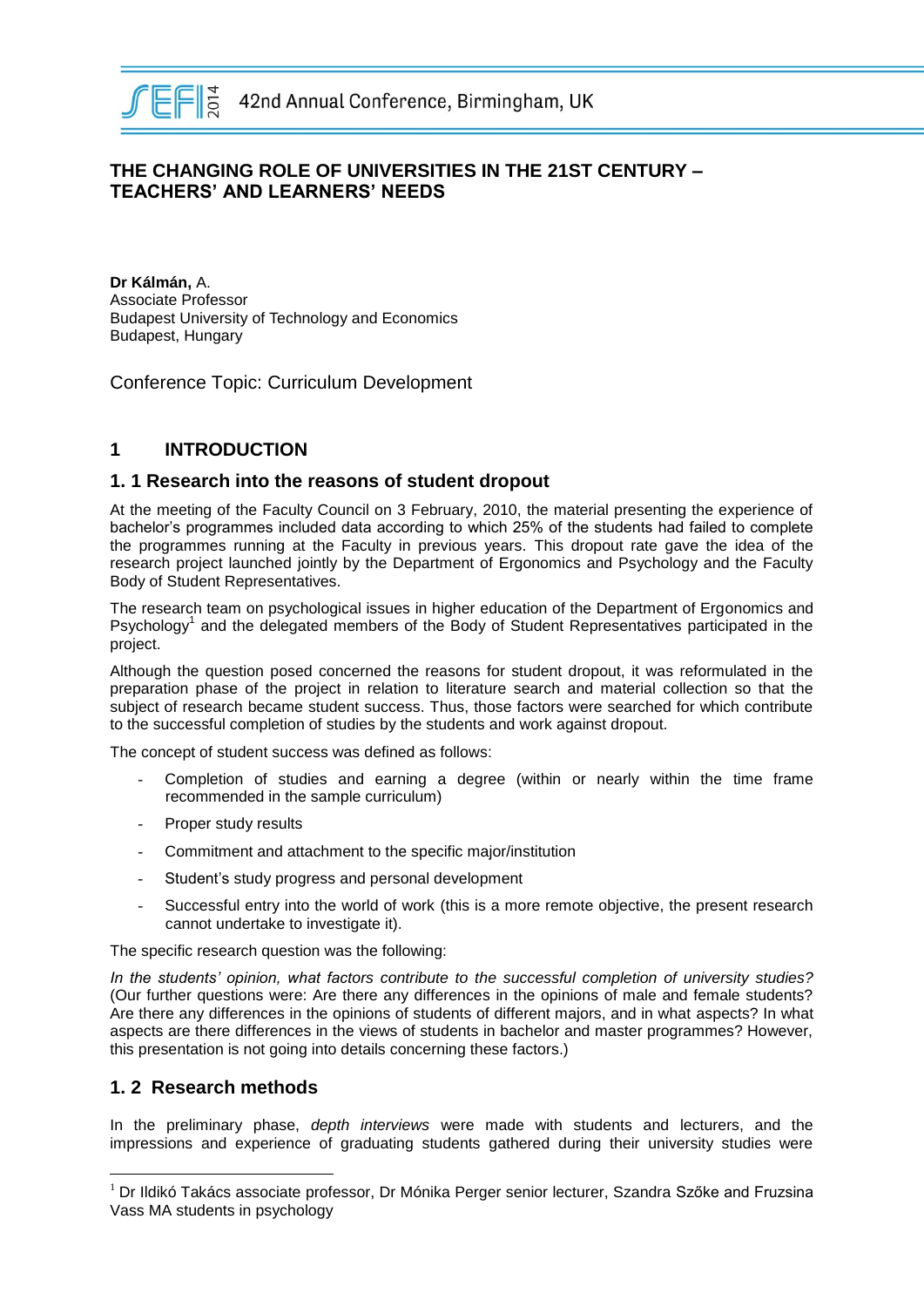

# **THE CHANGING ROLE OF UNIVERSITIES IN THE 21ST CENTURY – TEACHERS' AND LEARNERS' NEEDS**

**Dr Kálmán,** A. Associate Professor Budapest University of Technology and Economics Budapest, Hungary

Conference Topic: Curriculum Development

# **1 INTRODUCTION**

#### **1. 1 Research into the reasons of student dropout**

At the meeting of the Faculty Council on 3 February, 2010, the material presenting the experience of bachelor's programmes included data according to which 25% of the students had failed to complete the programmes running at the Faculty in previous years. This dropout rate gave the idea of the research project launched jointly by the Department of Ergonomics and Psychology and the Faculty Body of Student Representatives.

The research team on psychological issues in higher education of the Department of Ergonomics and Psychology<sup>1</sup> and the delegated members of the Body of Student Representatives participated in the project.

Although the question posed concerned the reasons for student dropout, it was reformulated in the preparation phase of the project in relation to literature search and material collection so that the subject of research became student success. Thus, those factors were searched for which contribute to the successful completion of studies by the students and work against dropout.

The concept of student success was defined as follows:

- Completion of studies and earning a degree (within or nearly within the time frame recommended in the sample curriculum)
- Proper study results
- Commitment and attachment to the specific major/institution
- Student's study progress and personal development
- Successful entry into the world of work (this is a more remote objective, the present research cannot undertake to investigate it).

The specific research question was the following:

*In the students' opinion, what factors contribute to the successful completion of university studies?* (Our further questions were: Are there any differences in the opinions of male and female students? Are there any differences in the opinions of students of different majors, and in what aspects? In what aspects are there differences in the views of students in bachelor and master programmes? However, this presentation is not going into details concerning these factors.)

#### **1. 2 Research methods**

 $\overline{a}$ 

In the preliminary phase, *depth interviews* were made with students and lecturers, and the impressions and experience of graduating students gathered during their university studies were

 $1$  Dr Ildikó Takács associate professor, Dr Mónika Perger senior lecturer, Szandra Szőke and Fruzsina Vass MA students in psychology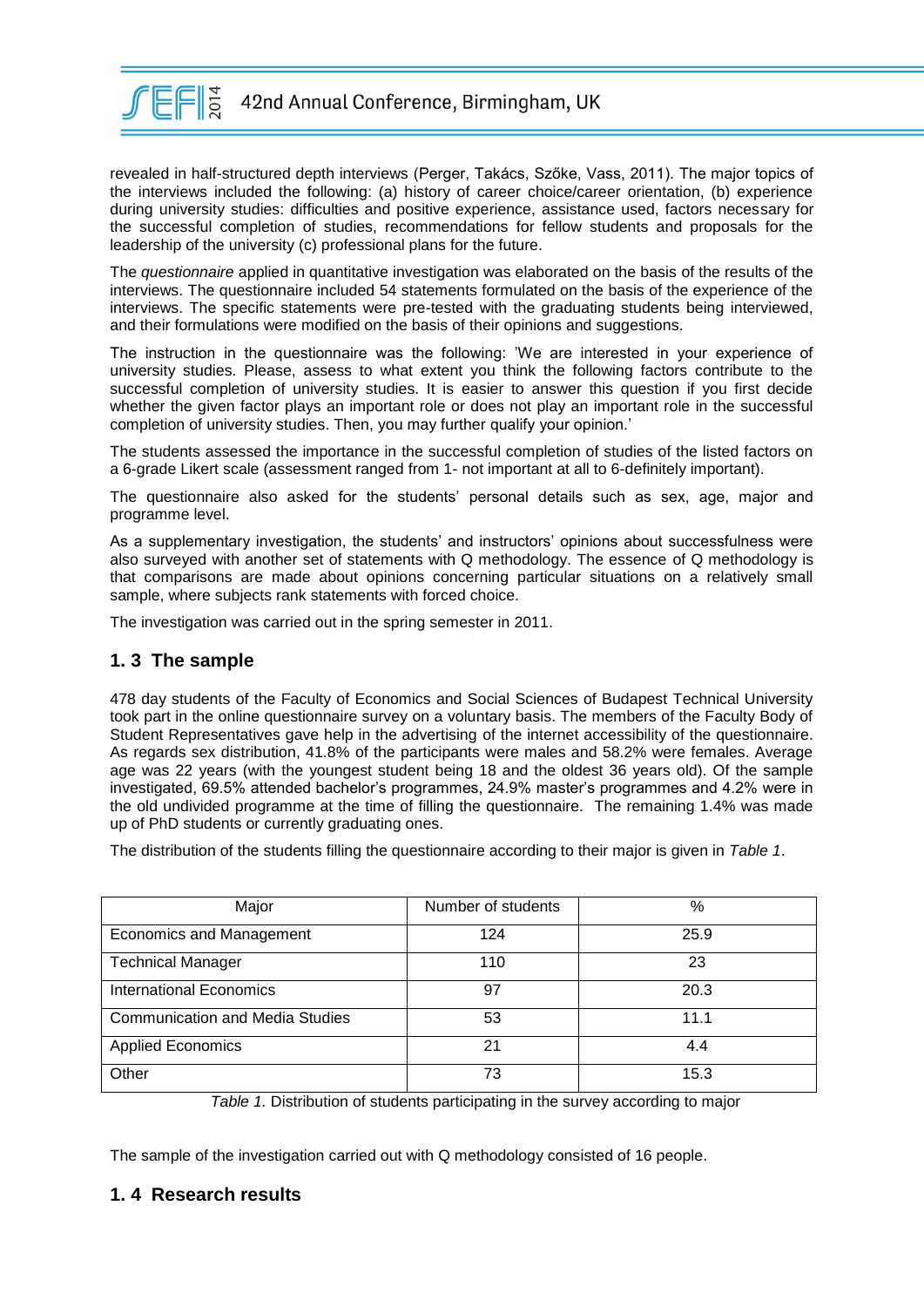

revealed in half-structured depth interviews (Perger, Takács, Szőke, Vass, 2011). The major topics of the interviews included the following: (a) history of career choice/career orientation, (b) experience during university studies: difficulties and positive experience, assistance used, factors necessary for the successful completion of studies, recommendations for fellow students and proposals for the leadership of the university (c) professional plans for the future.

The *questionnaire* applied in quantitative investigation was elaborated on the basis of the results of the interviews. The questionnaire included 54 statements formulated on the basis of the experience of the interviews. The specific statements were pre-tested with the graduating students being interviewed, and their formulations were modified on the basis of their opinions and suggestions.

The instruction in the questionnaire was the following: 'We are interested in your experience of university studies. Please, assess to what extent you think the following factors contribute to the successful completion of university studies. It is easier to answer this question if you first decide whether the given factor plays an important role or does not play an important role in the successful completion of university studies. Then, you may further qualify your opinion.'

The students assessed the importance in the successful completion of studies of the listed factors on a 6-grade Likert scale (assessment ranged from 1- not important at all to 6-definitely important).

The questionnaire also asked for the students' personal details such as sex, age, major and programme level.

As a supplementary investigation, the students' and instructors' opinions about successfulness were also surveyed with another set of statements with Q methodology. The essence of Q methodology is that comparisons are made about opinions concerning particular situations on a relatively small sample, where subjects rank statements with forced choice.

The investigation was carried out in the spring semester in 2011.

#### **1. 3 The sample**

478 day students of the Faculty of Economics and Social Sciences of Budapest Technical University took part in the online questionnaire survey on a voluntary basis. The members of the Faculty Body of Student Representatives gave help in the advertising of the internet accessibility of the questionnaire. As regards sex distribution, 41.8% of the participants were males and 58.2% were females. Average age was 22 years (with the youngest student being 18 and the oldest 36 years old). Of the sample investigated, 69.5% attended bachelor's programmes, 24.9% master's programmes and 4.2% were in the old undivided programme at the time of filling the questionnaire. The remaining 1.4% was made up of PhD students or currently graduating ones.

The distribution of the students filling the questionnaire according to their major is given in *Table 1*.

| Major                                  | Number of students | %    |
|----------------------------------------|--------------------|------|
|                                        |                    |      |
| <b>Economics and Management</b>        | 124                | 25.9 |
|                                        |                    |      |
| <b>Technical Manager</b>               | 110                | 23   |
|                                        |                    |      |
| <b>International Economics</b>         | 97                 | 20.3 |
|                                        |                    |      |
| <b>Communication and Media Studies</b> | 53                 | 11.1 |
|                                        |                    |      |
| <b>Applied Economics</b>               | 21                 | 4.4  |
|                                        |                    |      |
| Other                                  | 73                 | 15.3 |
|                                        |                    |      |

*Table 1.* Distribution of students participating in the survey according to major

The sample of the investigation carried out with Q methodology consisted of 16 people.

# **1. 4 Research results**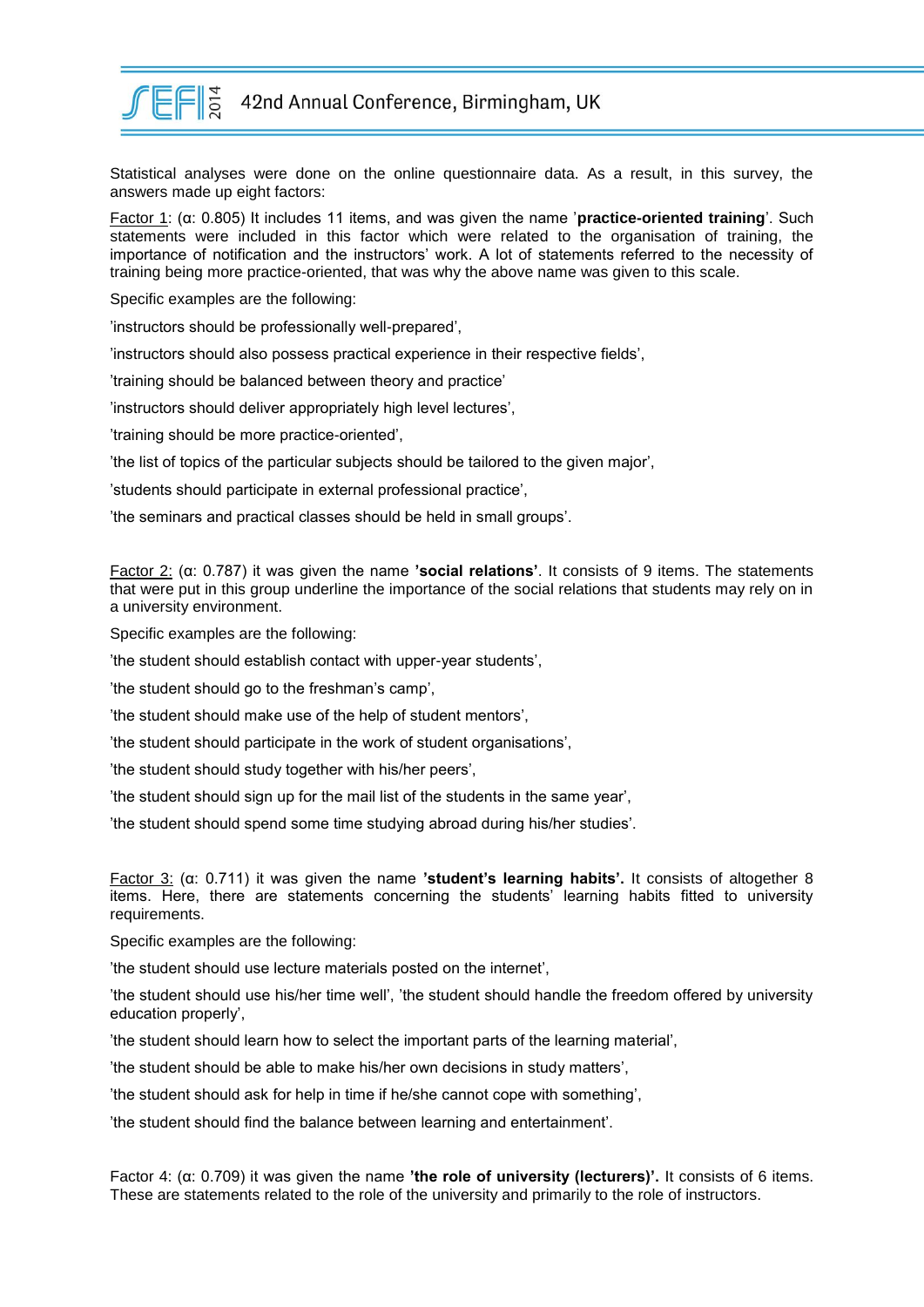

Statistical analyses were done on the online questionnaire data. As a result, in this survey, the answers made up eight factors:

Factor 1: (α: 0.805) It includes 11 items, and was given the name '**practice-oriented training**'. Such statements were included in this factor which were related to the organisation of training, the importance of notification and the instructors' work. A lot of statements referred to the necessity of training being more practice-oriented, that was why the above name was given to this scale.

Specific examples are the following:

'instructors should be professionally well-prepared',

'instructors should also possess practical experience in their respective fields',

'training should be balanced between theory and practice'

'instructors should deliver appropriately high level lectures',

'training should be more practice-oriented',

'the list of topics of the particular subjects should be tailored to the given major',

'students should participate in external professional practice',

'the seminars and practical classes should be held in small groups'.

Factor 2: (α: 0.787) it was given the name **'social relations'**. It consists of 9 items. The statements that were put in this group underline the importance of the social relations that students may rely on in a university environment.

Specific examples are the following:

'the student should establish contact with upper-year students',

'the student should go to the freshman's camp',

'the student should make use of the help of student mentors',

'the student should participate in the work of student organisations',

'the student should study together with his/her peers',

'the student should sign up for the mail list of the students in the same year',

'the student should spend some time studying abroad during his/her studies'.

Factor 3: (α: 0.711) it was given the name **'student's learning habits'.** It consists of altogether 8 items. Here, there are statements concerning the students' learning habits fitted to university requirements.

Specific examples are the following:

'the student should use lecture materials posted on the internet',

'the student should use his/her time well', 'the student should handle the freedom offered by university education properly',

'the student should learn how to select the important parts of the learning material',

'the student should be able to make his/her own decisions in study matters',

'the student should ask for help in time if he/she cannot cope with something',

'the student should find the balance between learning and entertainment'.

Factor 4: (α: 0.709) it was given the name **'the role of university (lecturers)'.** It consists of 6 items. These are statements related to the role of the university and primarily to the role of instructors.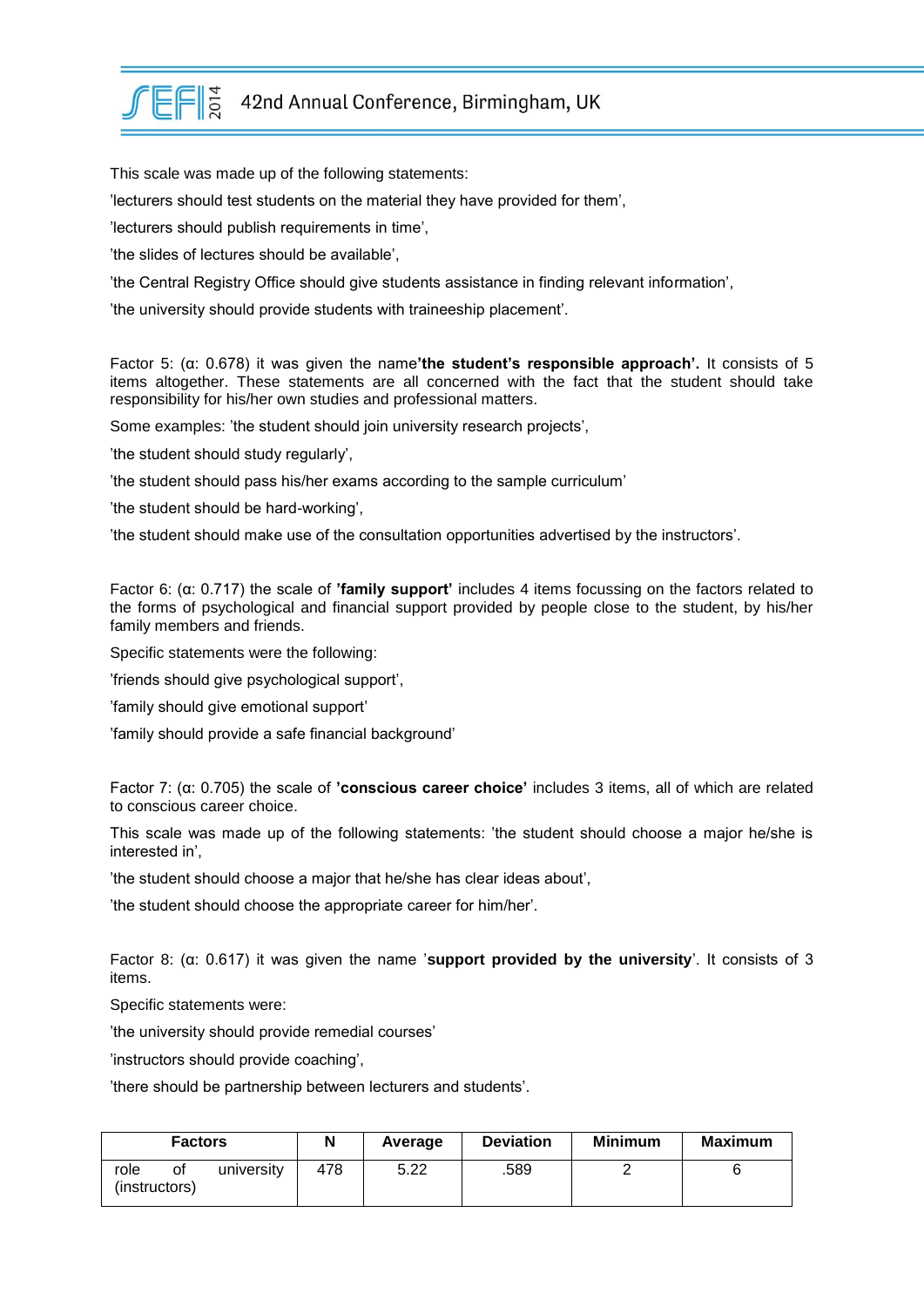

 $E F \lesssim 42$ nd Annual Conference, Birmingham, UK

This scale was made up of the following statements:

'lecturers should test students on the material they have provided for them',

'lecturers should publish requirements in time',

'the slides of lectures should be available',

'the Central Registry Office should give students assistance in finding relevant information',

'the university should provide students with traineeship placement'.

Factor 5: (α: 0.678) it was given the name**'the student's responsible approach'.** It consists of 5 items altogether. These statements are all concerned with the fact that the student should take responsibility for his/her own studies and professional matters.

Some examples: 'the student should join university research projects',

'the student should study regularly',

'the student should pass his/her exams according to the sample curriculum'

'the student should be hard-working',

'the student should make use of the consultation opportunities advertised by the instructors'.

Factor 6: (α: 0.717) the scale of **'family support'** includes 4 items focussing on the factors related to the forms of psychological and financial support provided by people close to the student, by his/her family members and friends.

Specific statements were the following:

'friends should give psychological support',

'family should give emotional support'

'family should provide a safe financial background'

Factor 7: (α: 0.705) the scale of **'conscious career choice'** includes 3 items, all of which are related to conscious career choice.

This scale was made up of the following statements: 'the student should choose a major he/she is interested in',

'the student should choose a major that he/she has clear ideas about',

'the student should choose the appropriate career for him/her'.

Factor 8: (α: 0.617) it was given the name '**support provided by the university**'. It consists of 3 items.

Specific statements were:

'the university should provide remedial courses'

'instructors should provide coaching',

'there should be partnership between lecturers and students'.

| <b>Factors</b>        |    | N          | Average | <b>Deviation</b> | <b>Minimum</b> | <b>Maximum</b> |  |
|-----------------------|----|------------|---------|------------------|----------------|----------------|--|
| role<br>(instructors) | Οİ | university | 478     | 5.22             | .589           |                |  |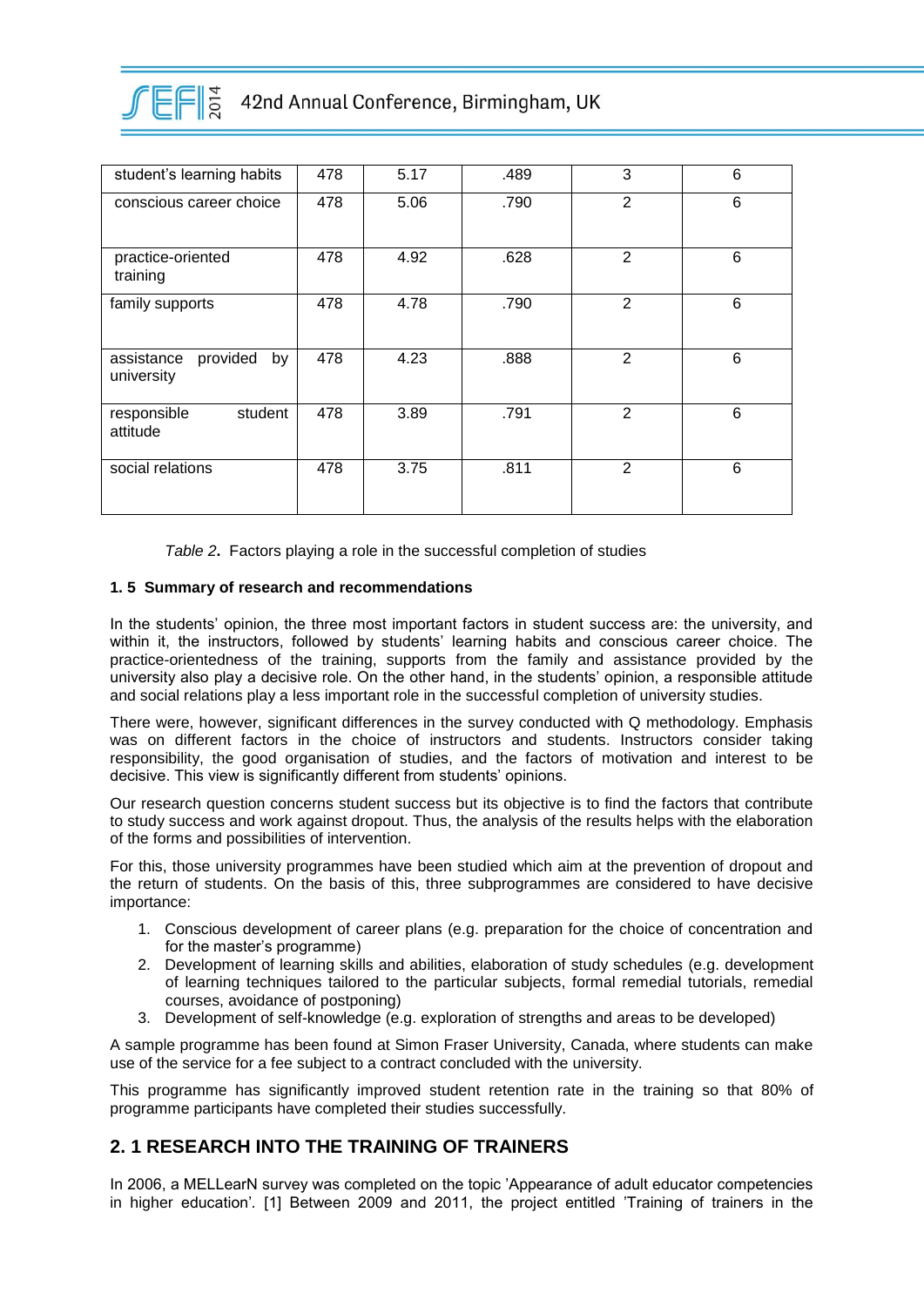

| student's learning habits                  | 478 | 5.17 | .489 | 3              | 6 |
|--------------------------------------------|-----|------|------|----------------|---|
| conscious career choice                    | 478 | 5.06 | .790 | $\overline{2}$ | 6 |
| practice-oriented<br>training              | 478 | 4.92 | .628 | $\mathbf{2}$   | 6 |
| family supports                            | 478 | 4.78 | .790 | 2              | 6 |
| provided<br>by<br>assistance<br>university | 478 | 4.23 | .888 | 2              | 6 |
| student<br>responsible<br>attitude         | 478 | 3.89 | .791 | $\overline{2}$ | 6 |
| social relations                           | 478 | 3.75 | .811 | $\overline{2}$ | 6 |

*Table 2***.** Factors playing a role in the successful completion of studies

#### **1. 5 Summary of research and recommendations**

In the students' opinion, the three most important factors in student success are: the university, and within it, the instructors, followed by students' learning habits and conscious career choice. The practice-orientedness of the training, supports from the family and assistance provided by the university also play a decisive role. On the other hand, in the students' opinion, a responsible attitude and social relations play a less important role in the successful completion of university studies.

There were, however, significant differences in the survey conducted with Q methodology. Emphasis was on different factors in the choice of instructors and students. Instructors consider taking responsibility, the good organisation of studies, and the factors of motivation and interest to be decisive. This view is significantly different from students' opinions.

Our research question concerns student success but its objective is to find the factors that contribute to study success and work against dropout. Thus, the analysis of the results helps with the elaboration of the forms and possibilities of intervention.

For this, those university programmes have been studied which aim at the prevention of dropout and the return of students. On the basis of this, three subprogrammes are considered to have decisive importance:

- 1. Conscious development of career plans (e.g. preparation for the choice of concentration and for the master's programme)
- 2. Development of learning skills and abilities, elaboration of study schedules (e.g. development of learning techniques tailored to the particular subjects, formal remedial tutorials, remedial courses, avoidance of postponing)
- 3. Development of self-knowledge (e.g. exploration of strengths and areas to be developed)

A sample programme has been found at Simon Fraser University, Canada, where students can make use of the service for a fee subject to a contract concluded with the university.

This programme has significantly improved student retention rate in the training so that 80% of programme participants have completed their studies successfully.

# **2. 1 RESEARCH INTO THE TRAINING OF TRAINERS**

In 2006, a MELLearN survey was completed on the topic 'Appearance of adult educator competencies in higher education'*.* [1] Between 2009 and 2011, the project entitled 'Training of trainers in the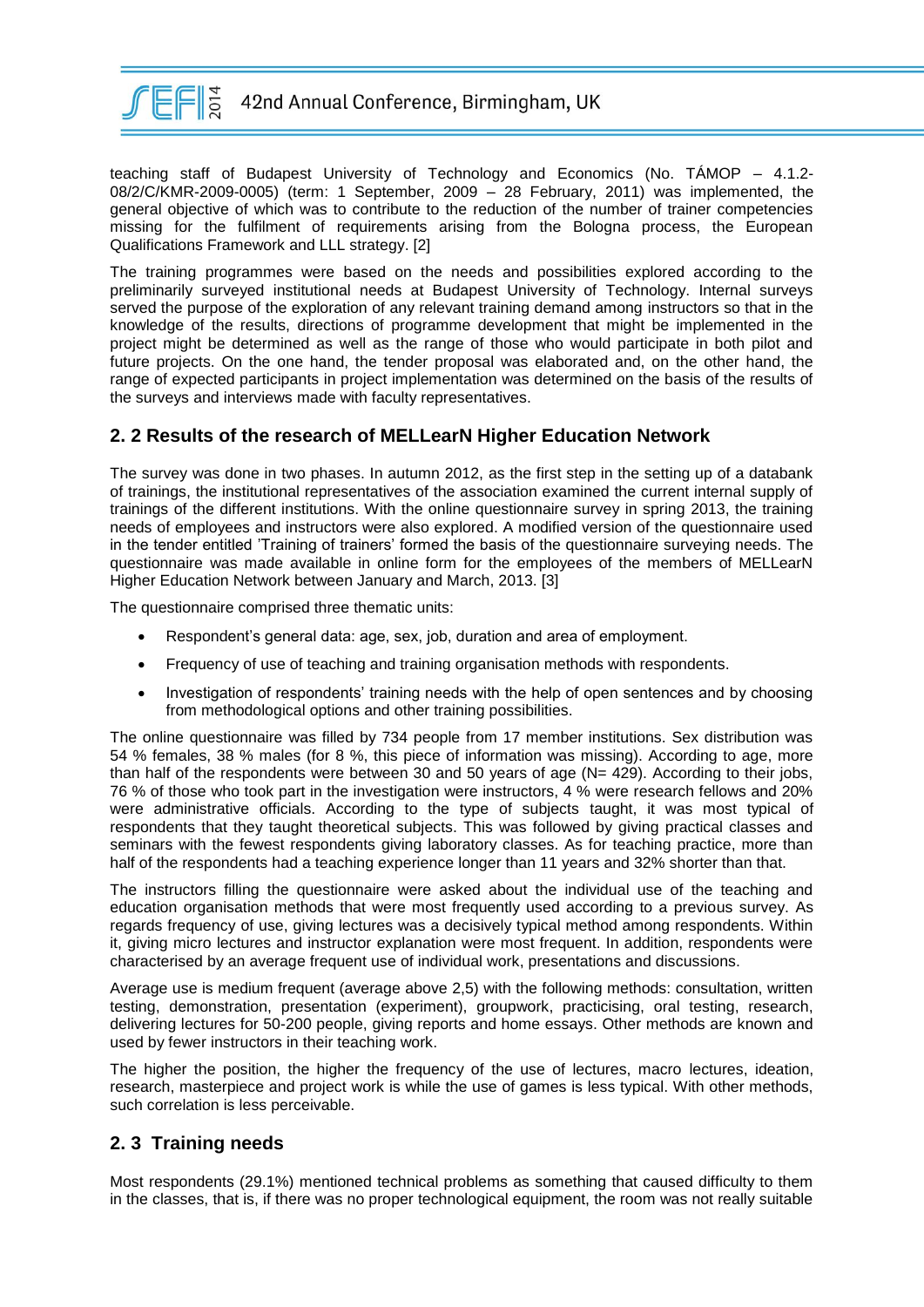

teaching staff of Budapest University of Technology and Economics (No. TÁMOP – 4.1.2- 08/2/C/KMR-2009-0005) (term: 1 September, 2009 – 28 February, 2011) was implemented, the general objective of which was to contribute to the reduction of the number of trainer competencies missing for the fulfilment of requirements arising from the Bologna process, the European Qualifications Framework and LLL strategy. [2]

The training programmes were based on the needs and possibilities explored according to the preliminarily surveyed institutional needs at Budapest University of Technology. Internal surveys served the purpose of the exploration of any relevant training demand among instructors so that in the knowledge of the results, directions of programme development that might be implemented in the project might be determined as well as the range of those who would participate in both pilot and future projects. On the one hand, the tender proposal was elaborated and, on the other hand, the range of expected participants in project implementation was determined on the basis of the results of the surveys and interviews made with faculty representatives.

#### **2. 2 Results of the research of MELLearN Higher Education Network**

The survey was done in two phases. In autumn 2012, as the first step in the setting up of a databank of trainings, the institutional representatives of the association examined the current internal supply of trainings of the different institutions. With the online questionnaire survey in spring 2013, the training needs of employees and instructors were also explored. A modified version of the questionnaire used in the tender entitled 'Training of trainers' formed the basis of the questionnaire surveying needs. The questionnaire was made available in online form for the employees of the members of MELLearN Higher Education Network between January and March, 2013. [3]

The questionnaire comprised three thematic units:

- Respondent's general data: age, sex, job, duration and area of employment.
- Frequency of use of teaching and training organisation methods with respondents.
- Investigation of respondents' training needs with the help of open sentences and by choosing from methodological options and other training possibilities.

The online questionnaire was filled by 734 people from 17 member institutions. Sex distribution was 54 % females, 38 % males (for 8 %, this piece of information was missing). According to age, more than half of the respondents were between 30 and 50 years of age ( $N = 429$ ). According to their jobs, 76 % of those who took part in the investigation were instructors, 4 % were research fellows and 20% were administrative officials. According to the type of subjects taught, it was most typical of respondents that they taught theoretical subjects. This was followed by giving practical classes and seminars with the fewest respondents giving laboratory classes. As for teaching practice, more than half of the respondents had a teaching experience longer than 11 years and 32% shorter than that.

The instructors filling the questionnaire were asked about the individual use of the teaching and education organisation methods that were most frequently used according to a previous survey. As regards frequency of use, giving lectures was a decisively typical method among respondents. Within it, giving micro lectures and instructor explanation were most frequent. In addition, respondents were characterised by an average frequent use of individual work, presentations and discussions.

Average use is medium frequent (average above 2,5) with the following methods: consultation, written testing, demonstration, presentation (experiment), groupwork, practicising, oral testing, research, delivering lectures for 50-200 people, giving reports and home essays. Other methods are known and used by fewer instructors in their teaching work.

The higher the position, the higher the frequency of the use of lectures, macro lectures, ideation, research, masterpiece and project work is while the use of games is less typical. With other methods, such correlation is less perceivable.

# **2. 3 Training needs**

Most respondents (29.1%) mentioned technical problems as something that caused difficulty to them in the classes, that is, if there was no proper technological equipment, the room was not really suitable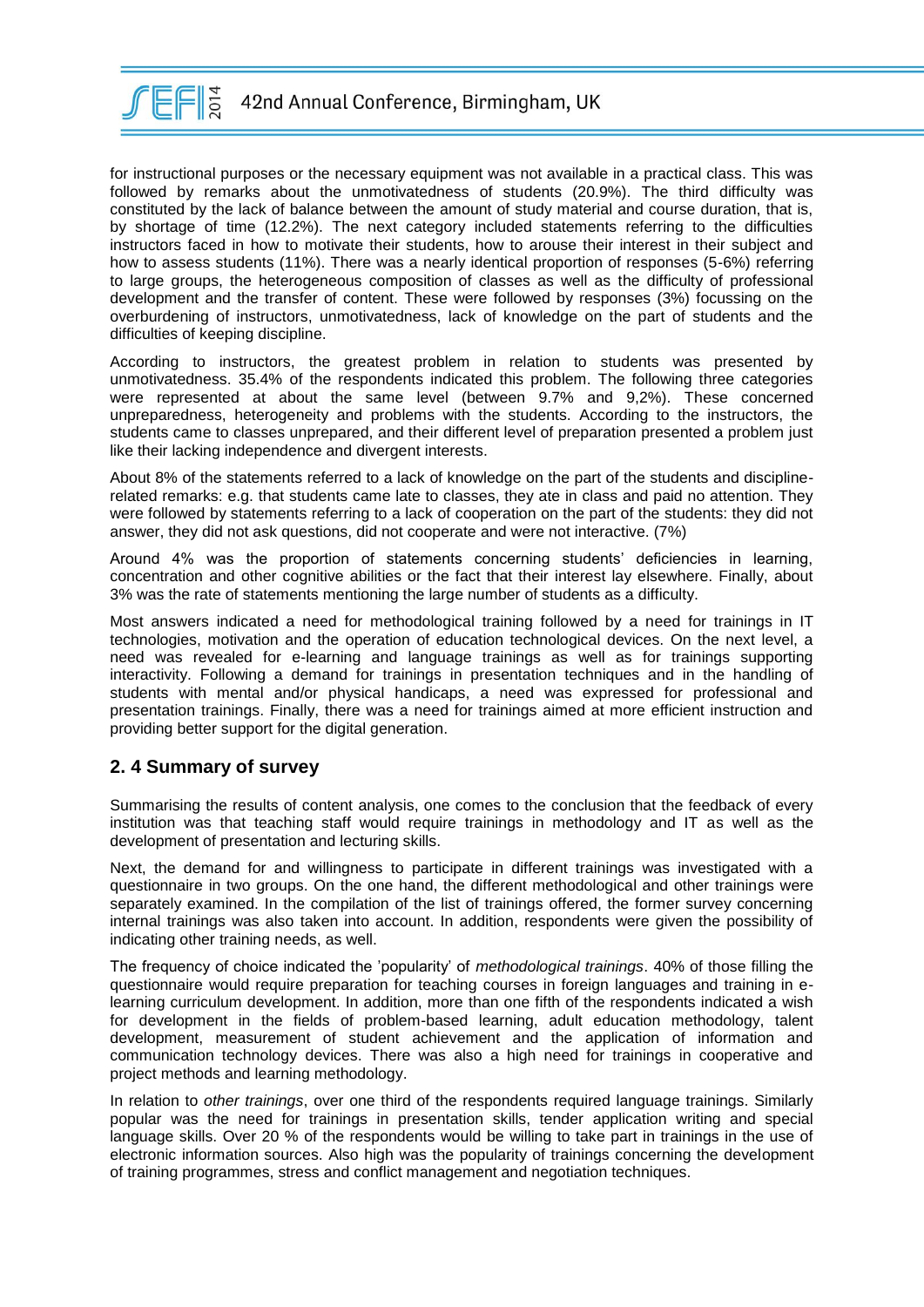

for instructional purposes or the necessary equipment was not available in a practical class. This was followed by remarks about the unmotivatedness of students (20.9%). The third difficulty was constituted by the lack of balance between the amount of study material and course duration, that is, by shortage of time (12.2%). The next category included statements referring to the difficulties instructors faced in how to motivate their students, how to arouse their interest in their subject and how to assess students (11%). There was a nearly identical proportion of responses (5-6%) referring to large groups, the heterogeneous composition of classes as well as the difficulty of professional development and the transfer of content. These were followed by responses (3%) focussing on the overburdening of instructors, unmotivatedness, lack of knowledge on the part of students and the difficulties of keeping discipline.

According to instructors, the greatest problem in relation to students was presented by unmotivatedness. 35.4% of the respondents indicated this problem. The following three categories were represented at about the same level (between 9.7% and 9,2%). These concerned unpreparedness, heterogeneity and problems with the students. According to the instructors, the students came to classes unprepared, and their different level of preparation presented a problem just like their lacking independence and divergent interests.

About 8% of the statements referred to a lack of knowledge on the part of the students and disciplinerelated remarks: e.g. that students came late to classes, they ate in class and paid no attention. They were followed by statements referring to a lack of cooperation on the part of the students: they did not answer, they did not ask questions, did not cooperate and were not interactive. (7%)

Around 4% was the proportion of statements concerning students' deficiencies in learning, concentration and other cognitive abilities or the fact that their interest lay elsewhere. Finally, about 3% was the rate of statements mentioning the large number of students as a difficulty.

Most answers indicated a need for methodological training followed by a need for trainings in IT technologies, motivation and the operation of education technological devices. On the next level, a need was revealed for e-learning and language trainings as well as for trainings supporting interactivity. Following a demand for trainings in presentation techniques and in the handling of students with mental and/or physical handicaps, a need was expressed for professional and presentation trainings. Finally, there was a need for trainings aimed at more efficient instruction and providing better support for the digital generation.

# **2. 4 Summary of survey**

Summarising the results of content analysis, one comes to the conclusion that the feedback of every institution was that teaching staff would require trainings in methodology and IT as well as the development of presentation and lecturing skills.

Next, the demand for and willingness to participate in different trainings was investigated with a questionnaire in two groups. On the one hand, the different methodological and other trainings were separately examined. In the compilation of the list of trainings offered, the former survey concerning internal trainings was also taken into account. In addition, respondents were given the possibility of indicating other training needs, as well.

The frequency of choice indicated the 'popularity' of *methodological trainings*. 40% of those filling the questionnaire would require preparation for teaching courses in foreign languages and training in elearning curriculum development. In addition, more than one fifth of the respondents indicated a wish for development in the fields of problem-based learning, adult education methodology, talent development, measurement of student achievement and the application of information and communication technology devices. There was also a high need for trainings in cooperative and project methods and learning methodology.

In relation to *other trainings*, over one third of the respondents required language trainings. Similarly popular was the need for trainings in presentation skills, tender application writing and special language skills. Over 20 % of the respondents would be willing to take part in trainings in the use of electronic information sources. Also high was the popularity of trainings concerning the development of training programmes, stress and conflict management and negotiation techniques.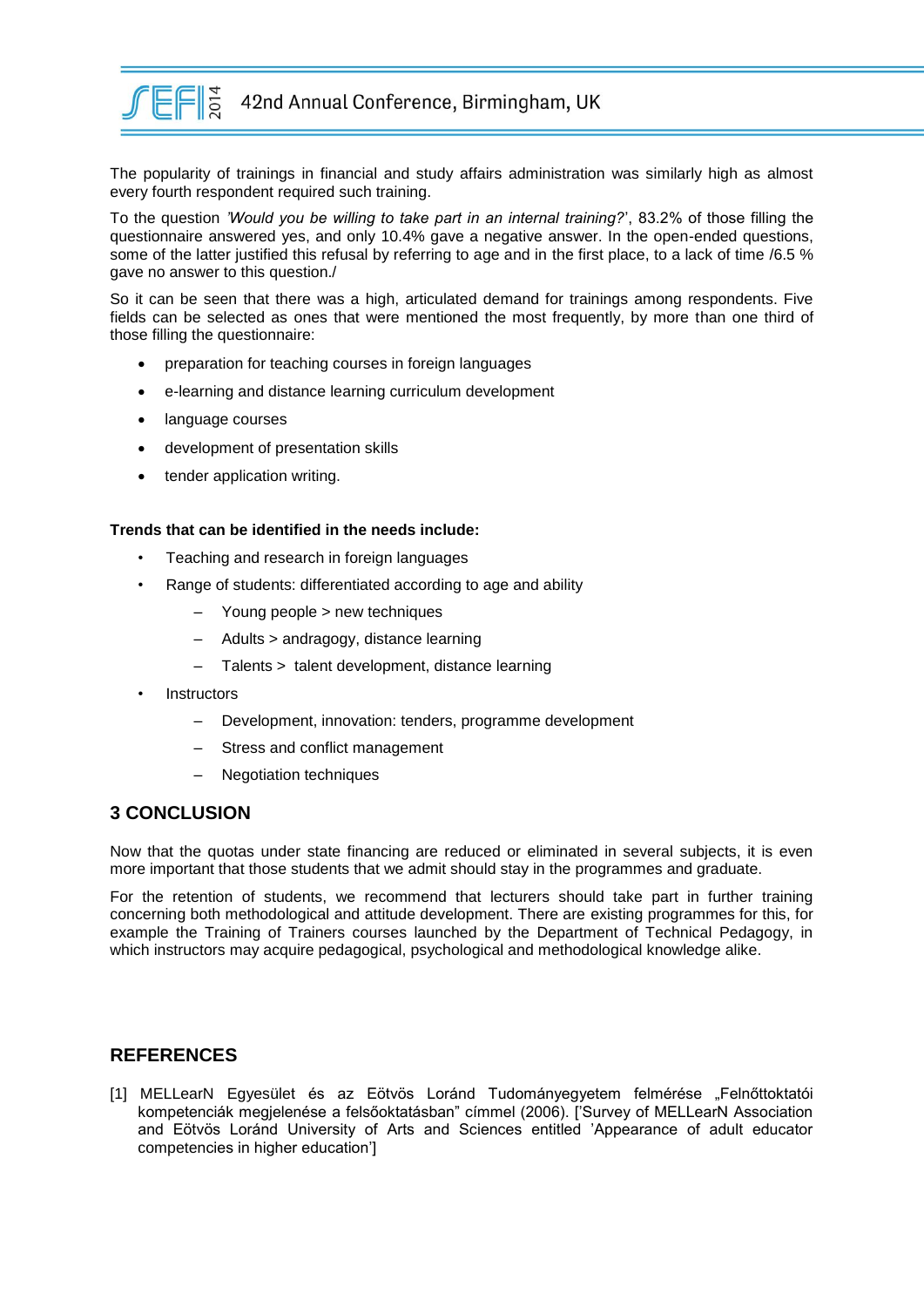

The popularity of trainings in financial and study affairs administration was similarly high as almost every fourth respondent required such training.

To the question *'Would you be willing to take part in an internal training?*', 83.2% of those filling the questionnaire answered yes, and only 10.4% gave a negative answer. In the open-ended questions, some of the latter justified this refusal by referring to age and in the first place, to a lack of time /6.5 % gave no answer to this question./

So it can be seen that there was a high, articulated demand for trainings among respondents. Five fields can be selected as ones that were mentioned the most frequently, by more than one third of those filling the questionnaire:

- preparation for teaching courses in foreign languages
- e-learning and distance learning curriculum development
- language courses
- development of presentation skills
- tender application writing.

#### **Trends that can be identified in the needs include:**

- Teaching and research in foreign languages
- Range of students: differentiated according to age and ability
	- Young people > new techniques
	- Adults > andragogy, distance learning
	- Talents > talent development, distance learning
- **Instructors** 
	- Development, innovation: tenders, programme development
	- Stress and conflict management
	- Negotiation techniques

#### **3 CONCLUSION**

Now that the quotas under state financing are reduced or eliminated in several subjects, it is even more important that those students that we admit should stay in the programmes and graduate.

For the retention of students, we recommend that lecturers should take part in further training concerning both methodological and attitude development. There are existing programmes for this, for example the Training of Trainers courses launched by the Department of Technical Pedagogy, in which instructors may acquire pedagogical, psychological and methodological knowledge alike.

# **REFERENCES**

[1] MELLearN Egyesület és az Eötvös Loránd Tudományegyetem felmérése "Felnőttoktatói kompetenciák megjelenése a felsőoktatásban" címmel (2006). ['Survey of MELLearN Association and Eötvös Loránd University of Arts and Sciences entitled 'Appearance of adult educator competencies in higher education']